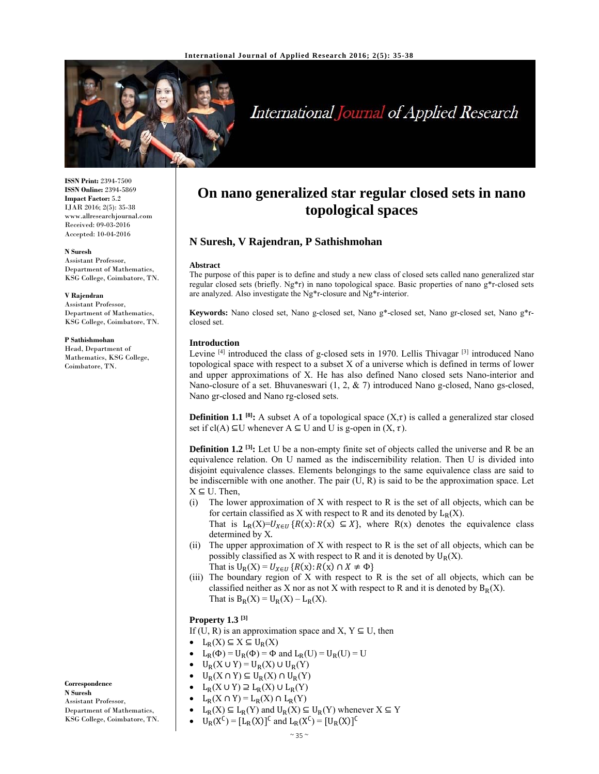

# International Journal of Applied Research

**ISSN Print:** 2394-7500 **ISSN Online:** 2394-5869 **Impact Factor:** 5.2 IJAR 2016; 2(5): 35-38 www.allresearchjournal.com Received: 09-03-2016 Accepted: 10-04-2016

#### **N Suresh**

Assistant Professor, Department of Mathematics, KSG College, Coimbatore, TN.

#### **V Rajendran**

Assistant Professor, Department of Mathematics, KSG College, Coimbatore, TN.

#### **P Sathishmohan**

Head, Department of Mathematics, KSG College, Coimbatore, TN.

# **On nano generalized star regular closed sets in nano topological spaces**

# **N Suresh, V Rajendran, P Sathishmohan**

#### **Abstract**

The purpose of this paper is to define and study a new class of closed sets called nano generalized star regular closed sets (briefly. Ng\*r) in nano topological space. Basic properties of nano g\*r-closed sets are analyzed. Also investigate the Ng\*r-closure and Ng\*r-interior.

**Keywords:** Nano closed set, Nano g-closed set, Nano g\*-closed set, Nano gr-closed set, Nano g\*rclosed set.

#### **Introduction**

Levine <sup>[4]</sup> introduced the class of g-closed sets in 1970. Lellis Thivagar <sup>[3]</sup> introduced Nano topological space with respect to a subset X of a universe which is defined in terms of lower and upper approximations of X. He has also defined Nano closed sets Nano-interior and Nano-closure of a set. Bhuvaneswari (1, 2, & 7) introduced Nano g-closed, Nano gs-closed, Nano gr-closed and Nano rg-closed sets.

**Definition 1.1** <sup>[8]</sup>: A subset A of a topological space  $(X,\tau)$  is called a generalized star closed set if cl(A)  $\subseteq U$  whenever A  $\subseteq U$  and U is g-open in  $(X, \tau)$ .

**Definition 1.2** <sup>[3]</sup>: Let U be a non-empty finite set of objects called the universe and R be an equivalence relation. On U named as the indiscernibility relation. Then U is divided into disjoint equivalence classes. Elements belongings to the same equivalence class are said to be indiscernible with one another. The pair  $(U, R)$  is said to be the approximation space. Let  $X \subseteq U$ . Then,

(i) The lower approximation of X with respect to R is the set of all objects, which can be for certain classified as X with respect to R and its denoted by  $L_R(X)$ . That is  $L_R(X)=U_{X\in U}$  { $R(x): R(x) \subseteq X$ }, where  $R(x)$  denotes the equivalence class

determined by X.

- (ii) The upper approximation of X with respect to R is the set of all objects, which can be possibly classified as X with respect to R and it is denoted by  $U_R(X)$ . That is  $U_R(X) = U_{X \in H} \{R(x): R(x) \cap X \neq \Phi\}$
- (iii) The boundary region of X with respect to R is the set of all objects, which can be classified neither as X nor as not X with respect to R and it is denoted by  $B_R(X)$ . That is  $B_R(X) = U_R(X) - L_R(X)$ .

# **Property 1.3 [3]**

If (U, R) is an approximation space and X,  $Y \subseteq U$ , then

- $L_R(X) \subseteq X \subseteq U_R(X)$
- L<sub>R</sub>( $\Phi$ ) = U<sub>R</sub>( $\Phi$ ) =  $\Phi$  and L<sub>R</sub>(U) = U<sub>R</sub>(U) = U
- $\bullet$   $U_R(X \cup Y) = U_R(X) \cup U_R(Y)$
- $U_R(X \cap Y) \subseteq U_R(X) \cap U_R(Y)$
- $L_R(X \cup Y) \supseteq L_R(X) \cup L_R(Y)$
- $L_R(X \cap Y) = L_R(X) \cap L_R(Y)$
- 
- $L_R(X) \subseteq L_R(Y)$  and  $U_R(X) \subseteq U_R(Y)$  whenever  $X \subseteq Y$

•  $U_R(X^C) = [L_R(X)]^C$  and  $L_R(X^C) = [U_R(X)]^C$ 

**Correspondence**

**N Suresh**  Assistant Professor, Department of Mathematics, KSG College, Coimbatore, TN.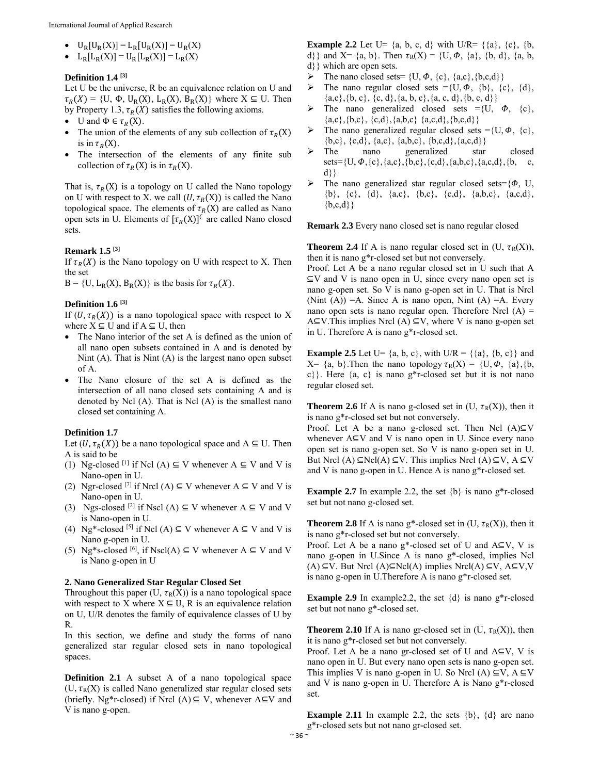- $U_R[U_R(X)] = L_R[U_R(X)] = U_R(X)$
- $L_R[L_R(X)] = U_R[L_R(X)] = L_R(X)$

#### **Definition 1.4 [3]**

Let U be the universe, R be an equivalence relation on U and  $\tau_R(X) = \{U, \Phi, U_R(X), L_R(X), B_R(X)\}\$  where  $X \subseteq U$ . Then by Property 1.3,  $\tau_R(X)$  satisfies the following axioms.

- U and  $\Phi \in \tau_R(X)$ .
- The union of the elements of any sub collection of  $\tau_R(X)$ is in  $\tau_R(X)$ .
- The intersection of the elements of any finite sub collection of  $\tau_R(X)$  is in  $\tau_R(X)$ .

That is,  $\tau_R(X)$  is a topology on U called the Nano topology on U with respect to X. we call  $(U, \tau_R(X))$  is called the Nano topological space. The elements of  $\tau_R(X)$  are called as Nano open sets in U. Elements of  $[\tau_R(X)]^C$  are called Nano closed sets.

### **Remark 1.5 [3]**

If  $\tau_R(X)$  is the Nano topology on U with respect to X. Then the set

 $B = \{U, L_R(X), B_R(X)\}\$ is the basis for  $\tau_R(X)$ .

#### **Definition 1.6 [3]**

If  $(U, \tau_R(X))$  is a nano topological space with respect to X where  $X \subseteq U$  and if  $A \subseteq U$ , then

- The Nano interior of the set A is defined as the union of all nano open subsets contained in A and is denoted by Nint (A). That is Nint (A) is the largest nano open subset of A.
- The Nano closure of the set A is defined as the intersection of all nano closed sets containing A and is denoted by Ncl (A). That is Ncl (A) is the smallest nano closed set containing A.

#### **Definition 1.7**

Let  $(U, \tau_R(X))$  be a nano topological space and A ⊆ U. Then A is said to be

- (1) Ng-closed <sup>[1]</sup> if Ncl (A)  $\subseteq$  V whenever A  $\subseteq$  V and V is Nano-open in U.
- (2) Ngr-closed [7] if Nrcl (A)  $\subseteq$  V whenever A  $\subseteq$  V and V is Nano-open in U.
- (3) Ngs-closed <sup>[2]</sup> if Nscl (A)  $\subseteq$  V whenever A  $\subseteq$  V and V is Nano-open in U.
- (4) Ng<sup>\*</sup>-closed <sup>[5]</sup> if Ncl (A)  $\subseteq$  V whenever A  $\subseteq$  V and V is Nano g-open in U.
- (5) Ng\*s-closed <sup>[6]</sup>, if Nscl(A)  $\subseteq$  V whenever A  $\subseteq$  V and V is Nano g-open in U

### **2. Nano Generalized Star Regular Closed Set**

Throughout this paper (U,  $\tau_R(X)$ ) is a nano topological space with respect to X where  $X \subseteq U$ , R is an equivalence relation on U, U/R denotes the family of equivalence classes of U by R.

In this section, we define and study the forms of nano generalized star regular closed sets in nano topological spaces.

**Definition 2.1** A subset A of a nano topological space  $(U, \tau_R(X))$  is called Nano generalized star regular closed sets (briefly. Ng\*r-closed) if Nrcl (A)  $\subseteq$  V, whenever A $\subseteq$ V and V is nano g-open.

**Example 2.2** Let U=  $\{a, b, c, d\}$  with U/R=  $\{\{a\}, \{c\}, \{b, d\}$ d}} and X= {a, b}. Then  $\tau_R(X) = \{U, \Phi, \{a\}, \{b, d\}, \{a, b, d\}$ d}} which are open sets.

- The nano closed sets=  $\{U, \phi, \{c\}, \{a,c\}, \{b,c,d\}\}\$
- $\triangleright$  The nano regular closed sets ={U,  $\varphi$ , {b}, {c}, {d},  ${a,c}, {b, c}, {c, d}, {a, b, c}, {a, c, d}, {b, c, d}$
- $\triangleright$  The nano generalized closed sets ={U,  $\Phi$ , {c},  ${a,c}, {b,c}, {c,d}, {a,b,c} {a,c,d}, {b,c,d}$
- $\triangleright$  The nano generalized regular closed sets ={U,  $\varphi$ , {c},  $\{b,c\}, \{c,d\}, \{a,c\}, \{a,b,c\}, \{b,c,d\}, \{a,c,d\}\}\$
- > The nano generalized star closed  $sets={U, \phi, {c}, {a,c}, {b,c}, {c,d}, {a,b,c}, {a,c,d}, {b, c},$ d}}
- $\triangleright$  The nano generalized star regular closed sets={ $\Phi$ , U,  ${b}, {c}, {d}, {a,c}, {b,c}, {c,d}, {a,b,c}, {a,c,d},$  ${b,c,d}$

**Remark 2.3** Every nano closed set is nano regular closed

**Theorem 2.4** If A is nano regular closed set in  $(U, \tau_R(X))$ , then it is nano g\*r-closed set but not conversely.

Proof. Let A be a nano regular closed set in U such that A ⊆V and V is nano open in U, since every nano open set is nano g-open set. So V is nano g-open set in U. That is Nrcl (Nint  $(A)$ ) = A. Since A is nano open, Nint  $(A)$  = A. Every nano open sets is nano regular open. Therefore Nrcl  $(A)$  = A⊆V.This implies Nrcl (A) ⊆V, where V is nano g-open set in U. Therefore A is nano g\*r-closed set.

**Example 2.5** Let U=  $\{a, b, c\}$ , with U/R =  $\{\{a\}, \{b, c\}\}\$  and  $X = \{a, b\}$ . Then the nano topology  $\tau_R(X) = \{U, \Phi, \{a\}, \{b, \Phi\}$ c}}. Here  $\{a, c\}$  is nano g\*r-closed set but it is not nano regular closed set.

**Theorem 2.6** If A is nano g-closed set in  $(U, \tau_R(X))$ , then it is nano g\*r-closed set but not conversely.

Proof. Let A be a nano g-closed set. Then Ncl  $(A) \subseteq V$ whenever  $A \subseteq V$  and V is nano open in U. Since every nano open set is nano g-open set. So V is nano g-open set in U. But Nrcl (A)  $\subseteq$ Ncl(A)  $\subseteq$ V. This implies Nrcl (A)  $\subseteq$ V, A  $\subseteq$ V and V is nano g-open in U. Hence A is nano g\*r-closed set.

**Example 2.7** In example 2.2, the set  $\{b\}$  is nano g\*r-closed set but not nano g-closed set.

**Theorem 2.8** If A is nano g\*-closed set in  $(U, \tau_R(X))$ , then it is nano g\*r-closed set but not conversely.

Proof. Let A be a nano  $g^*$ -closed set of U and  $A \subseteq V$ , V is nano g-open in U.Since A is nano g\*-closed, implies Ncl  $(A) ⊆ V$ . But Nrcl  $(A) ⊆ Ncl(A)$  implies Nrcl $(A) ⊆ V$ , A⊆V,V is nano g-open in U.Therefore A is nano g\*r-closed set.

**Example 2.9** In example 2.2, the set  $\{d\}$  is nano g<sup>\*</sup>r-closed set but not nano g\*-closed set.

**Theorem 2.10** If A is nano gr-closed set in  $(U, \tau_R(X))$ , then it is nano g\*r-closed set but not conversely.

Proof. Let A be a nano gr-closed set of U and  $A \subseteq V$ , V is nano open in U. But every nano open sets is nano g-open set. This implies V is nano g-open in U. So Nrcl (A)  $\subseteq V$ , A  $\subseteq V$ and V is nano g-open in U. Therefore A is Nano g\*r-closed set.

**Example 2.11** In example 2.2, the sets  $\{b\}$ ,  $\{d\}$  are nano g\*r-closed sets but not nano gr-closed set.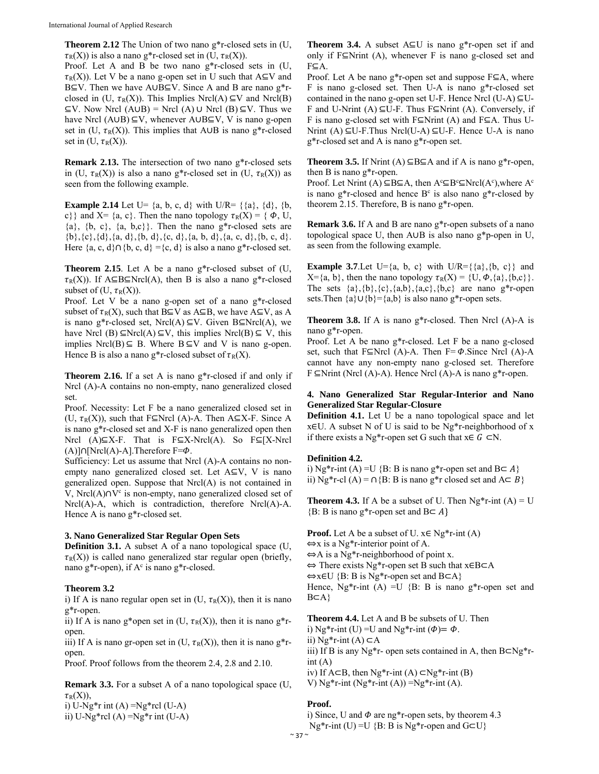**Theorem 2.12** The Union of two nano g\*r-closed sets in (U,  $\tau_R(X)$ ) is also a nano g\*r-closed set in (U,  $\tau_R(X)$ ).

Proof. Let A and B be two nano g\*r-closed sets in (U,  $\tau_R(X)$ ). Let V be a nano g-open set in U such that A⊆V and B⊆V. Then we have A∪B⊆V. Since A and B are nano g\*rclosed in (U,  $\tau_R(X)$ ). This Implies Nrcl(A)  $\subseteq V$  and Nrcl(B) ⊆V. Now Nrcl (A∪B) = Nrcl (A) ∪ Nrcl (B) ⊆V. Thus we have Nrcl (A∪B)  $\subseteq$ V, whenever A∪B $\subseteq$ V, V is nano g-open set in (U,  $\tau_R(X)$ ). This implies that A∪B is nano g\*r-closed set in  $(U, \tau_R(X))$ .

**Remark 2.13.** The intersection of two nano g\*r-closed sets in (U,  $\tau_R(X)$ ) is also a nano g\*r-closed set in (U,  $\tau_R(X)$ ) as seen from the following example.

**Example 2.14** Let U=  $\{a, b, c, d\}$  with U/R=  $\{\{a\}, \{d\}, \{b, d\}\}$ c}} and X= {a, c}. Then the nano topology ߬R(X) = { ߔ, U,  $\{a\}$ ,  $\{b, c\}$ ,  $\{a, b, c\}$ . Then the nano g\*r-closed sets are  ${\b}, {\c}, {\d}, {\d}, \{a, d\}, {\d}, d}, {\c, d}, {\c, d}, {\d}, a, b, d, {\d}, a, c, d, {\b}, c, d.$ Here  ${a, c, d} \cap {b, c, d} = {c, d}$  is also a nano g\*r-closed set.

**Theorem 2.15**. Let A be a nano g\*r-closed subset of (U,  $\tau_R(X)$ ). If A⊆B⊆Nrcl(A), then B is also a nano g\*r-closed subset of (U,  $\tau_R(X)$ ).

Proof. Let V be a nano g-open set of a nano g\*r-closed subset of  $\tau_R(X)$ , such that B⊆V as A⊆B, we have A⊆V, as A is nano g\*r-closed set, Nrcl(A)  $\subseteq$ V. Given B $\subseteq$ Nrcl(A), we have Nrcl (B)  $\subseteq$ Nrcl(A)  $\subseteq$ V, this implies Nrcl(B)  $\subseteq$  V, this implies Nrcl(B)  $\subseteq$  B. Where B  $\subseteq$ V and V is nano g-open. Hence B is also a nano g\*r-closed subset of  $\tau_R(X)$ .

**Theorem 2.16.** If a set A is nano g\*r-closed if and only if Nrcl (A)-A contains no non-empty, nano generalized closed set.

Proof. Necessity: Let F be a nano generalized closed set in (U,  $\tau_R(X)$ ), such that F⊆Nrcl (A)-A. Then A⊆X-F. Since A is nano g\*r-closed set and X-F is nano generalized open then Nrcl (A)⊆X-F. That is  $F ⊆ X-Nrcl(A)$ . So  $F ⊆ [X-Nrcl]$ (A)]∩[Nrcl(A)-A].Therefore F= $\Phi$ .

Sufficiency: Let us assume that Nrcl (A)-A contains no nonempty nano generalized closed set. Let A⊆V, V is nano generalized open. Suppose that Nrcl(A) is not contained in V, Nrcl(A)∩V<sup>c</sup> is non-empty, nano generalized closed set of Nrcl(A)-A, which is contradiction, therefore Nrcl(A)-A. Hence A is nano g\*r-closed set.

## **3. Nano Generalized Star Regular Open Sets**

**Definition 3.1.** A subset A of a nano topological space (U,  $\tau_R(X)$ ) is called nano generalized star regular open (briefly, nano g\*r-open), if  $A<sup>c</sup>$  is nano g\*r-closed.

### **Theorem 3.2**

i) If A is nano regular open set in  $(U, \tau_R(X))$ , then it is nano g\*r-open.

ii) If A is nano g\*open set in (U,  $\tau_R(X)$ ), then it is nano g\*ropen.

iii) If A is nano gr-open set in  $(U, \tau_R(X))$ , then it is nano g<sup>\*</sup>ropen.

Proof. Proof follows from the theorem 2.4, 2.8 and 2.10.

**Remark 3.3.** For a subset A of a nano topological space (U,  $\tau_R(X)$ ),

i) U-Ng $*$ r int (A) =Ng $*$ rcl (U-A)

ii) U-Ng $*$ rcl (A) =Ng $*$ r int (U-A)

**Theorem 3.4.** A subset A⊆U is nano g\*r-open set if and only if  $F\subseteq$ Nrint (A), whenever F is nano g-closed set and F⊆A.

Proof. Let A be nano g\*r-open set and suppose F⊆A, where F is nano g-closed set. Then U-A is nano g\*r-closed set contained in the nano g-open set U-F. Hence Nrcl (U-A)  $\subseteq U$ -F and U-Nrint (A)  $\subseteq$ U-F. Thus F⊆Nrint (A). Conversely, if F is nano g-closed set with F⊆Nrint (A) and F⊆A. Thus U-Nrint (A) ⊆U-F.Thus Nrcl(U-A) ⊆U-F. Hence U-A is nano g\*r-closed set and A is nano g\*r-open set.

**Theorem 3.5.** If Nrint  $(A) ⊆ B ⊆ A$  and if A is nano g<sup>\*</sup>r-open, then B is nano g\*r-open.

Proof. Let Nrint (A)  $\subseteq B \subseteq A$ , then  $A^c \subseteq B^c \subseteq Nrel(A^c)$ , where  $A^c$ is nano  $g^*$ r-closed and hence  $B^c$  is also nano  $g^*$ r-closed by theorem 2.15. Therefore, B is nano g\*r-open.

**Remark 3.6.** If A and B are nano g\*r-open subsets of a nano topological space U, then A∪B is also nano g\*p-open in U, as seen from the following example.

**Example 3.7.** Let U={a, b, c} with U/R={{a}, {b, c}} and  $X = \{a, b\}$ , then the nano topology  $\tau_R(X) = \{U, \Phi, \{a\}, \{b, c\}\}.$ The sets  $\{a\}, \{b\}, \{c\}, \{a,b\}, \{a,c\}, \{b,c\}$  are nano g\*r-open sets.Then  $\{a\} \cup \{b\} = \{a,b\}$  is also nano g\*r-open sets.

**Theorem 3.8.** If A is nano g\*r-closed. Then Nrcl (A)-A is nano g\*r-open.

Proof. Let A be nano g\*r-closed. Let F be a nano g-closed set, such that F⊆Nrcl (A)-A. Then F= $\Phi$ . Since Nrcl (A)-A cannot have any non-empty nano g-closed set. Therefore F ⊆Nrint (Nrcl (A)-A). Hence Nrcl (A)-A is nano g\*r-open.

# **4. Nano Generalized Star Regular-Interior and Nano Generalized Star Regular-Closure**

**Definition 4.1.** Let U be a nano topological space and let x∈U. A subset N of U is said to be Ng\*r-neighborhood of x if there exists a Ng\*r-open set G such that  $x \in G \subset N$ .

### **Definition 4.2.**

i) Ng\*r-int (A) =U {B: B is nano g\*r-open set and B $\subset$  A} ii) Ng\*r-cl (A) = ∩{B: B is nano g\*r closed set and  $A \subseteq B$ }

**Theorem 4.3.** If A be a subset of U. Then  $Ng^*r$ -int  $(A) = U$  ${B: B \text{ is nano g*}}$ r-open set and B $\subset A$ 

**Proof.** Let A be a subset of U.  $x \in \text{Ng*r-int}(A)$  $\Leftrightarrow$ x is a Ng<sup>\*</sup>r-interior point of A. ⇔A is a Ng\*r-neighborhood of point x. ⇔ There exists Ng\*r-open set B such that x∈B⊂A ⇔x∈U {B: B is Ng\*r-open set and B⊂A} Hence, Ng\*r-int (A) = U {B: B is nano g\*r-open set and B⊂A}

**Theorem 4.4.** Let A and B be subsets of U. Then

i) Ng\*r-int (U) = U and Ng\*r-int ( $\Phi$ ) =  $\Phi$ .

ii) Ng\*r-int (A) ⊂A

iii) If B is any Ng\*r- open sets contained in A, then B⊂Ng\*rint (A)

iv) If A⊂B, then Ng\*r-int (A) ⊂Ng\*r-int (B)

V)  $Ng^*r\text{-}int(Ng^*r\text{-}int(A)) = Ng^*r\text{-}int(A)$ .

### **Proof.**

i) Since, U and  $\Phi$  are ng\*r-open sets, by theorem 4.3 Ng\*r-int (U) =U {B: B is Ng\*r-open and G⊂U}